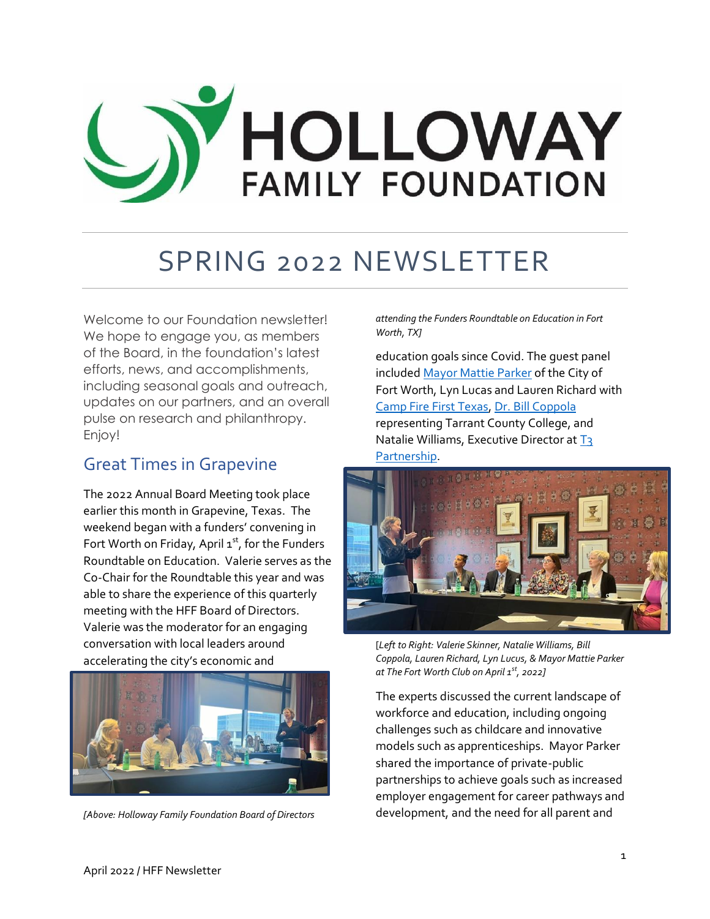# HOLLOWAY<br>FAMILY FOUNDATION

### SPRING 2022 NEWSLETTER

Welcome to our Foundation newsletter! We hope to engage you, as members of the Board, in the foundation's latest efforts, news, and accomplishments, including seasonal goals and outreach, updates on our partners, and an overall pulse on research and philanthropy. Enjoy!

#### Great Times in Grapevine

The 2022 Annual Board Meeting took place earlier this month in Grapevine, Texas. The weekend began with a funders' convening in Fort Worth on Friday, April  $1<sup>st</sup>$ , for the Funders Roundtable on Education. Valerie serves as the Co-Chair for the Roundtable this year and was able to share the experience of this quarterly meeting with the HFF Board of Directors. Valerie was the moderator for an engaging conversation with local leaders around accelerating the city's economic and



*[Above: Holloway Family Foundation Board of Directors* 

*attending the Funders Roundtable on Education in Fort Worth, TX]*

education goals since Covid. The guest panel included Mayor [Mattie Parker](https://www.fortworthtexas.gov/government/elected-officials/mattie-parker) of the City of Fort Worth, Lyn Lucas and Lauren Richard with [Camp Fire First Texas,](https://www.campfirefw.org/) [Dr. Bill Coppola](https://www.tccd.edu/locations/southeast-campus/welcome-se/) representing Tarrant County College, and Natalie Williams, Executive Director at T3 [Partnership.](https://t3partnership.org/)



[*Left to Right: Valerie Skinner, Natalie Williams, Bill Coppola, Lauren Richard, Lyn Lucus, & Mayor Mattie Parker at The Fort Worth Club on April 1st, 2022]*

The experts discussed the current landscape of workforce and education, including ongoing challenges such as childcare and innovative models such as apprenticeships. Mayor Parker shared the importance of private-public partnerships to achieve goals such as increased employer engagement for career pathways and development, and the need for all parent and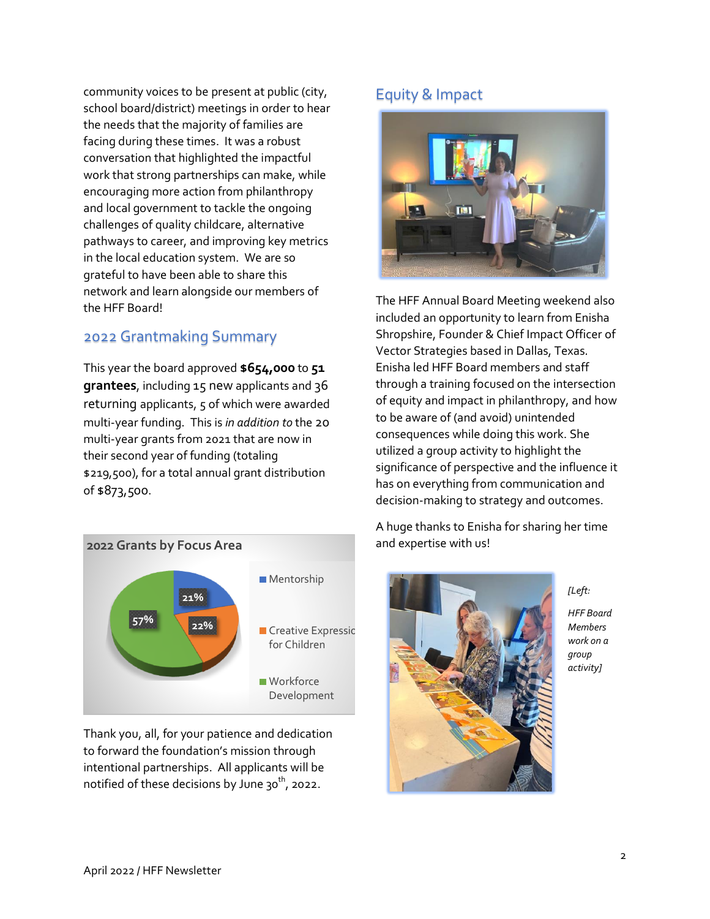community voices to be present at public (city, school board/district) meetings in order to hear the needs that the majority of families are facing during these times. It was a robust conversation that highlighted the impactful work that strong partnerships can make, while encouraging more action from philanthropy and local government to tackle the ongoing challenges of quality childcare, alternative pathways to career, and improving key metrics in the local education system. We are so grateful to have been able to share this network and learn alongside our members of the HFF Board!

#### 2022 Grantmaking Summary

This year the board approved **\$654,000** to **51 grantees**, including 15 new applicants and 36 returning applicants, 5 of which were awarded multi-year funding. This is *in addition to* the 20 multi-year grants from 2021 that are now in their second year of funding (totaling \$219,500), for a total annual grant distribution of \$873,500.



Thank you, all, for your patience and dedication to forward the foundation's mission through intentional partnerships. All applicants will be notified of these decisions by June  $30^{th}$ , 2022.

#### Equity & Impact



The HFF Annual Board Meeting weekend also included an opportunity to learn from Enisha Shropshire, Founder & Chief Impact Officer of Vector Strategies based in Dallas, Texas. Enisha led HFF Board members and staff through a training focused on the intersection of equity and impact in philanthropy, and how to be aware of (and avoid) unintended consequences while doing this work. She utilized a group activity to highlight the significance of perspective and the influence it has on everything from communication and decision-making to strategy and outcomes.

A huge thanks to Enisha for sharing her time and expertise with us!



*[Left: HFF Board Members work on a group activity]*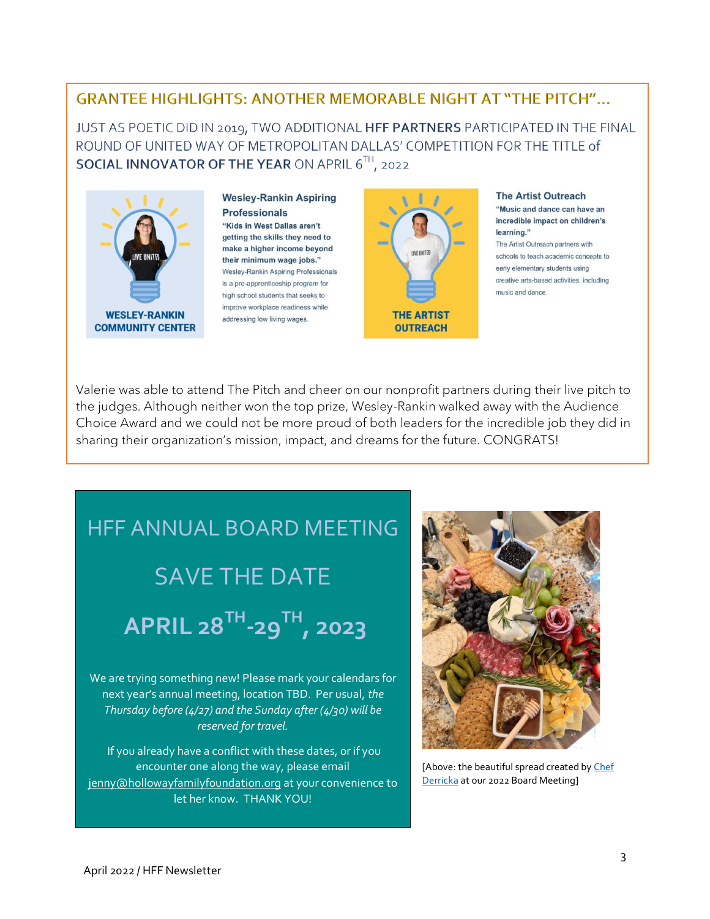#### **GRANTEE HIGHLIGHTS: ANOTHER MEMORABLE NIGHT AT "THE PITCH"...**

JUST AS POETIC DID IN 2019, TWO ADDITIONAL HFF PARTNERS PARTICIPATED IN THE FINAL ROUND OF UNITED WAY OF METROPOLITAN DALLAS' COMPETITION FOR THE TITLE of SOCIAL INNOVATOR OF THE YEAR ON APRIL 6TH, 2022



**Wesley-Rankin Aspiring Professionals** "Kids in West Dallas aren't getting the skills they need to make a higher income beyond their minimum wage jobs." Wesley-Rankin Aspiring Professionals is a pre-apprenticeship program for high school students that seeks to improve workplace readiness while addressing low living wages.



#### **The Artist Outreach** "Music and dance can have an incredible impact on children's

learning." The Artist Outreach partners with schools to teach academic concepts to early elementary students using creative arts-based activities, including music and dance.

Valerie was able to attend The Pitch and cheer on our nonprofit partners during their live pitch to the judges. Although neither won the top prize, Wesley-Rankin walked away with the Audience Choice Award and we could not be more proud of both leaders for the incredible job they did in sharing their organization's mission, impact, and dreams for the future. CONGRATS!

# HFF ANNUAL BOARD MEETING SAVE THE DATE

**APRIL 28TH -29TH, 2023**

We are trying something new! Please mark your calendars for next year's annual meeting, location TBD. Per usual, *the Thursday before (4/27) and the Sunday after (4/30) will be reserved for travel.* 

If you already have a conflict with these dates, or if you encounter one along the way, please email [jenny@hollowayfamilyfoundation.org](mailto:jenny@hollowayfamilyfoundation.org) at your convenience to let her know. THANK YOU!



[Above: the beautiful spread created by Chef [Derricka](https://www.chefderricka.com/) at our 2022 Board Meeting]